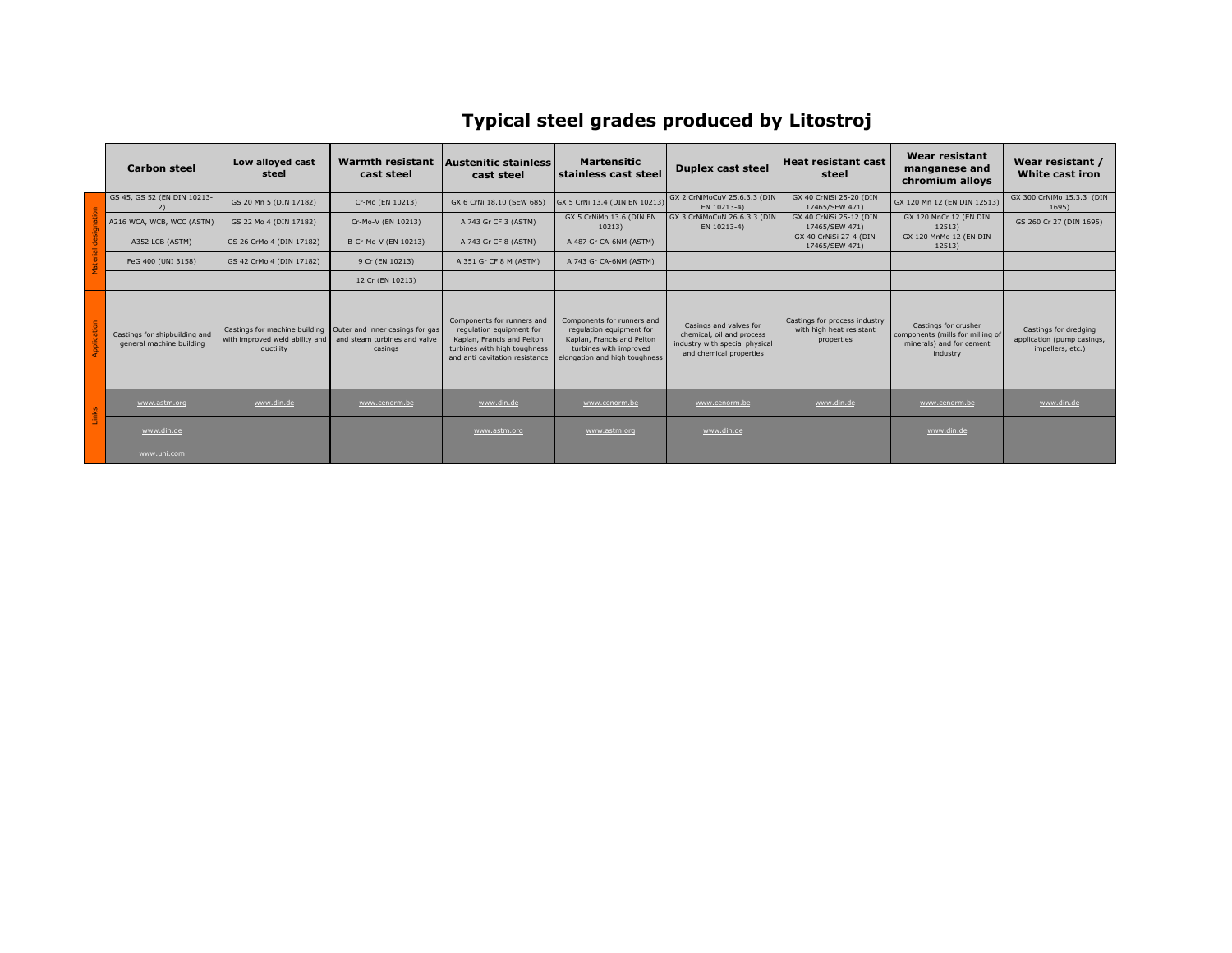## **Typical steel grades produced by Litostroj**

|                       | <b>Carbon steel</b>                                       | Low alloyed cast<br>steel                   | <b>Warmth resistant</b><br>cast steel                                                                      | <b>Austenitic stainless</b><br>cast steel                                                                                                              | <b>Martensitic</b><br>stainless cast steel                                                                                                      | <b>Duplex cast steel</b>                                                                                         | Heat resistant cast<br>steel                                            | <b>Wear resistant</b><br>manganese and<br>chromium alloys                                        | Wear resistant /<br>White cast iron                                     |
|-----------------------|-----------------------------------------------------------|---------------------------------------------|------------------------------------------------------------------------------------------------------------|--------------------------------------------------------------------------------------------------------------------------------------------------------|-------------------------------------------------------------------------------------------------------------------------------------------------|------------------------------------------------------------------------------------------------------------------|-------------------------------------------------------------------------|--------------------------------------------------------------------------------------------------|-------------------------------------------------------------------------|
| ŏ                     | GS 45, GS 52 (EN DIN 10213-                               | GS 20 Mn 5 (DIN 17182)                      | Cr-Mo (EN 10213)                                                                                           | GX 6 CrNi 18.10 (SEW 685)                                                                                                                              | GX 5 CrNi 13.4 (DIN EN 10213)                                                                                                                   | GX 2 CrNiMoCuV 25.6.3.3 (DIN<br>EN 10213-4)                                                                      | GX 40 CrNiSi 25-20 (DIN<br>17465/SEW 471)                               | GX 120 Mn 12 (EN DIN 12513)                                                                      | GX 300 CrNiMo 15.3.3 (DIN<br>1695)                                      |
|                       | A216 WCA, WCB, WCC (ASTM)                                 | GS 22 Mo 4 (DIN 17182)                      | Cr-Mo-V (EN 10213)                                                                                         | A 743 Gr CF 3 (ASTM)                                                                                                                                   | GX 5 CrNiMo 13.6 (DIN EN<br>10213)                                                                                                              | GX 3 CrNiMoCuN 26.6.3.3 (DIN<br>EN 10213-4)                                                                      | GX 40 CrNiSi 25-12 (DIN<br>17465/SEW 471)                               | GX 120 MnCr 12 (EN DIN<br>12513)                                                                 | GS 260 Cr 27 (DIN 1695)                                                 |
|                       | A352 LCB (ASTM)                                           | GS 26 CrMo 4 (DIN 17182)                    | B-Cr-Mo-V (EN 10213)                                                                                       | A 743 Gr CF 8 (ASTM)                                                                                                                                   | A 487 Gr CA-6NM (ASTM)                                                                                                                          |                                                                                                                  | GX 40 CrNiSi 27-4 (DIN<br>17465/SEW 471)                                | GX 120 MnMo 12 (EN DIN<br>12513)                                                                 |                                                                         |
| Material              | FeG 400 (UNI 3158)                                        | GS 42 CrMo 4 (DIN 17182)                    | 9 Cr (EN 10213)                                                                                            | A 351 Gr CF 8 M (ASTM)                                                                                                                                 | A 743 Gr CA-6NM (ASTM)                                                                                                                          |                                                                                                                  |                                                                         |                                                                                                  |                                                                         |
|                       |                                                           |                                             | 12 Cr (EN 10213)                                                                                           |                                                                                                                                                        |                                                                                                                                                 |                                                                                                                  |                                                                         |                                                                                                  |                                                                         |
| <b>land</b><br>Applic | Castings for shipbuilding and<br>general machine building | with improved weld ability and<br>ductility | Castings for machine building   Outer and inner casings for gas<br>and steam turbines and valve<br>casings | Components for runners and<br>requlation equipment for<br>Kaplan, Francis and Pelton<br>turbines with high toughness<br>and anti cavitation resistance | Components for runners and<br>requlation equipment for<br>Kaplan, Francis and Pelton<br>turbines with improved<br>elongation and high toughness | Casings and valves for<br>chemical, oil and process<br>industry with special physical<br>and chemical properties | Castings for process industry<br>with high heat resistant<br>properties | Castings for crusher<br>components (mills for milling of<br>minerals) and for cement<br>industry | Castings for dredging<br>application (pump casings,<br>impellers, etc.) |
| <b>S</b>              | www.astm.org                                              | www.din.de                                  | www.cenorm.be                                                                                              | www.din.de                                                                                                                                             | www.cenorm.be                                                                                                                                   | www.cenorm.be                                                                                                    | www.din.de                                                              | www.cenorm.be                                                                                    | www.din.de                                                              |
|                       | www.din.de                                                |                                             |                                                                                                            | www.astm.org                                                                                                                                           | www.astm.org                                                                                                                                    | www.din.de                                                                                                       |                                                                         | www.din.de                                                                                       |                                                                         |
|                       | www.uni.com                                               |                                             |                                                                                                            |                                                                                                                                                        |                                                                                                                                                 |                                                                                                                  |                                                                         |                                                                                                  |                                                                         |